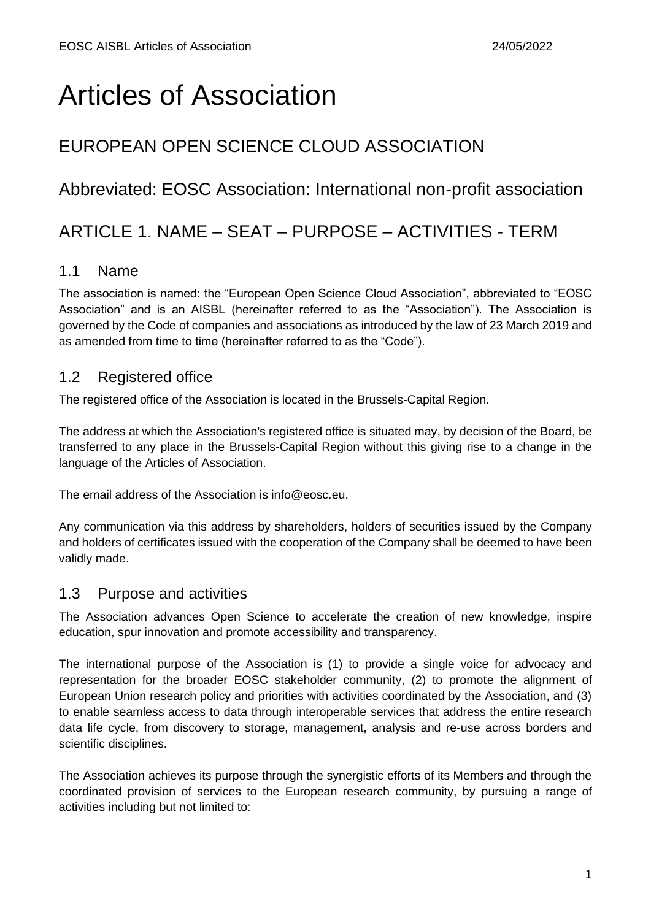# Articles of Association

### EUROPEAN OPEN SCIENCE CLOUD ASSOCIATION

#### Abbreviated: EOSC Association: International non-profit association

### ARTICLE 1. NAME – SEAT – PURPOSE – ACTIVITIES - TERM

#### 1.1 Name

The association is named: the "European Open Science Cloud Association", abbreviated to "EOSC Association" and is an AISBL (hereinafter referred to as the "Association"). The Association is governed by the Code of companies and associations as introduced by the law of 23 March 2019 and as amended from time to time (hereinafter referred to as the "Code").

#### 1.2 Registered office

The registered office of the Association is located in the Brussels-Capital Region.

The address at which the Association's registered office is situated may, by decision of the Board, be transferred to any place in the Brussels-Capital Region without this giving rise to a change in the language of the Articles of Association.

The email address of the Association is info@eosc.eu.

Any communication via this address by shareholders, holders of securities issued by the Company and holders of certificates issued with the cooperation of the Company shall be deemed to have been validly made.

#### 1.3 Purpose and activities

The Association advances Open Science to accelerate the creation of new knowledge, inspire education, spur innovation and promote accessibility and transparency.

The international purpose of the Association is (1) to provide a single voice for advocacy and representation for the broader EOSC stakeholder community, (2) to promote the alignment of European Union research policy and priorities with activities coordinated by the Association, and (3) to enable seamless access to data through interoperable services that address the entire research data life cycle, from discovery to storage, management, analysis and re-use across borders and scientific disciplines.

The Association achieves its purpose through the synergistic efforts of its Members and through the coordinated provision of services to the European research community, by pursuing a range of activities including but not limited to: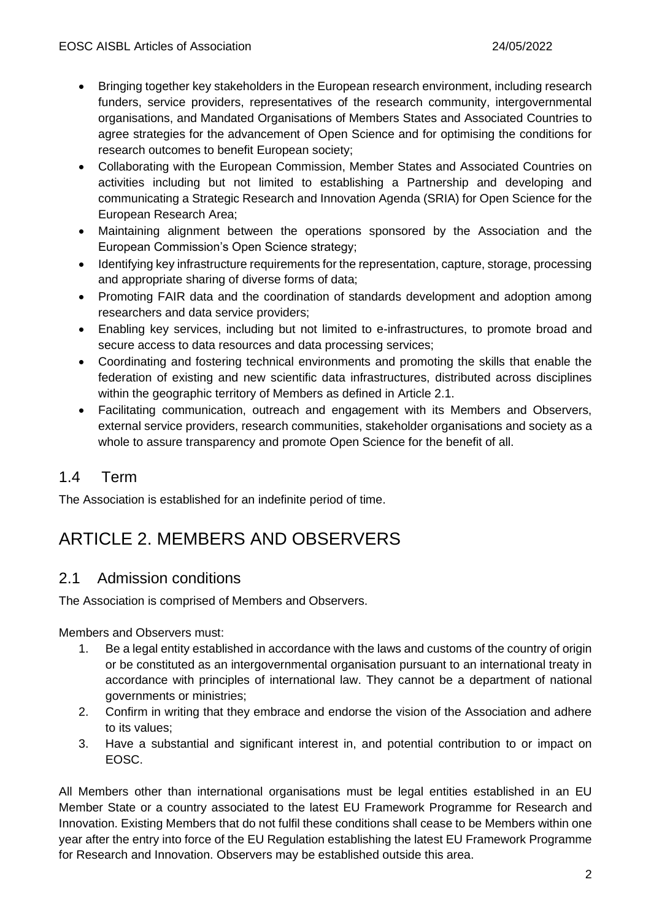- Bringing together key stakeholders in the European research environment, including research funders, service providers, representatives of the research community, intergovernmental organisations, and Mandated Organisations of Members States and Associated Countries to agree strategies for the advancement of Open Science and for optimising the conditions for research outcomes to benefit European society;
- Collaborating with the European Commission, Member States and Associated Countries on activities including but not limited to establishing a Partnership and developing and communicating a Strategic Research and Innovation Agenda (SRIA) for Open Science for the European Research Area;
- Maintaining alignment between the operations sponsored by the Association and the European Commission's Open Science strategy;
- Identifying key infrastructure requirements for the representation, capture, storage, processing and appropriate sharing of diverse forms of data;
- Promoting FAIR data and the coordination of standards development and adoption among researchers and data service providers;
- Enabling key services, including but not limited to e-infrastructures, to promote broad and secure access to data resources and data processing services;
- Coordinating and fostering technical environments and promoting the skills that enable the federation of existing and new scientific data infrastructures, distributed across disciplines within the geographic territory of Members as defined in Article 2.1.
- Facilitating communication, outreach and engagement with its Members and Observers, external service providers, research communities, stakeholder organisations and society as a whole to assure transparency and promote Open Science for the benefit of all.

#### 1.4 Term

The Association is established for an indefinite period of time.

# ARTICLE 2. MEMBERS AND OBSERVERS

#### 2.1 Admission conditions

The Association is comprised of Members and Observers.

Members and Observers must:

- 1. Be a legal entity established in accordance with the laws and customs of the country of origin or be constituted as an intergovernmental organisation pursuant to an international treaty in accordance with principles of international law. They cannot be a department of national governments or ministries;
- 2. Confirm in writing that they embrace and endorse the vision of the Association and adhere to its values;
- 3. Have a substantial and significant interest in, and potential contribution to or impact on EOSC.

All Members other than international organisations must be legal entities established in an EU Member State or a country associated to the latest EU Framework Programme for Research and Innovation. Existing Members that do not fulfil these conditions shall cease to be Members within one year after the entry into force of the EU Regulation establishing the latest EU Framework Programme for Research and Innovation. Observers may be established outside this area.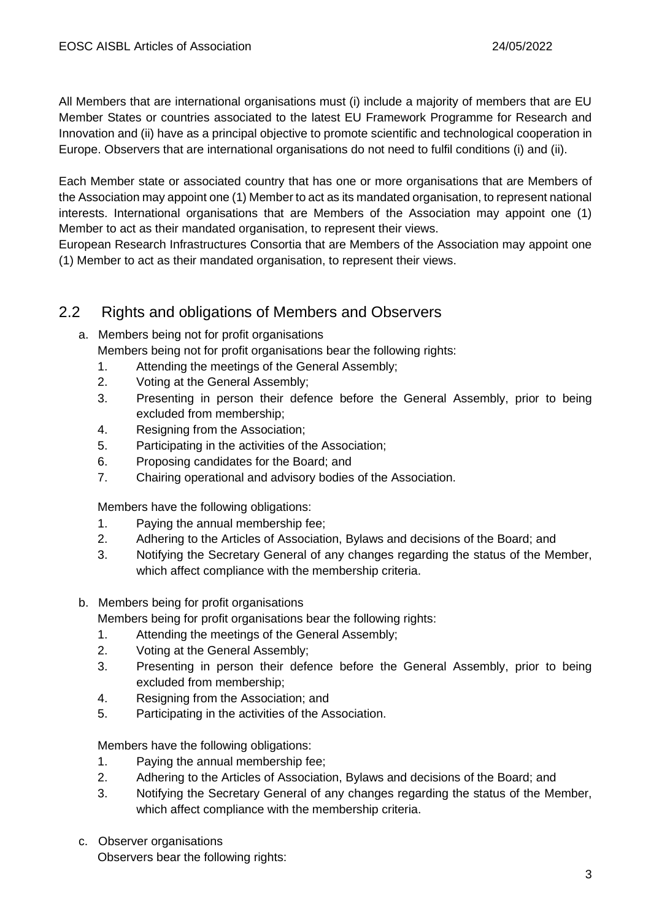All Members that are international organisations must (i) include a majority of members that are EU Member States or countries associated to the latest EU Framework Programme for Research and Innovation and (ii) have as a principal objective to promote scientific and technological cooperation in Europe. Observers that are international organisations do not need to fulfil conditions (i) and (ii).

Each Member state or associated country that has one or more organisations that are Members of the Association may appoint one (1) Member to act as its mandated organisation, to represent national interests. International organisations that are Members of the Association may appoint one (1) Member to act as their mandated organisation, to represent their views.

European Research Infrastructures Consortia that are Members of the Association may appoint one (1) Member to act as their mandated organisation, to represent their views.

#### 2.2 Rights and obligations of Members and Observers

- a. Members being not for profit organisations Members being not for profit organisations bear the following rights:
	- 1. Attending the meetings of the General Assembly;
	- 2. Voting at the General Assembly;
	- 3. Presenting in person their defence before the General Assembly, prior to being excluded from membership;
	- 4. Resigning from the Association;
	- 5. Participating in the activities of the Association;
	- 6. Proposing candidates for the Board; and
	- 7. Chairing operational and advisory bodies of the Association.

Members have the following obligations:

- 1. Paying the annual membership fee;
- 2. Adhering to the Articles of Association, Bylaws and decisions of the Board; and
- 3. Notifying the Secretary General of any changes regarding the status of the Member, which affect compliance with the membership criteria.
- b. Members being for profit organisations

Members being for profit organisations bear the following rights:

- 1. Attending the meetings of the General Assembly;
- 2. Voting at the General Assembly;
- 3. Presenting in person their defence before the General Assembly, prior to being excluded from membership;
- 4. Resigning from the Association; and
- 5. Participating in the activities of the Association.

Members have the following obligations:

- 1. Paying the annual membership fee;
- 2. Adhering to the Articles of Association, Bylaws and decisions of the Board; and
- 3. Notifying the Secretary General of any changes regarding the status of the Member, which affect compliance with the membership criteria.
- c. Observer organisations Observers bear the following rights: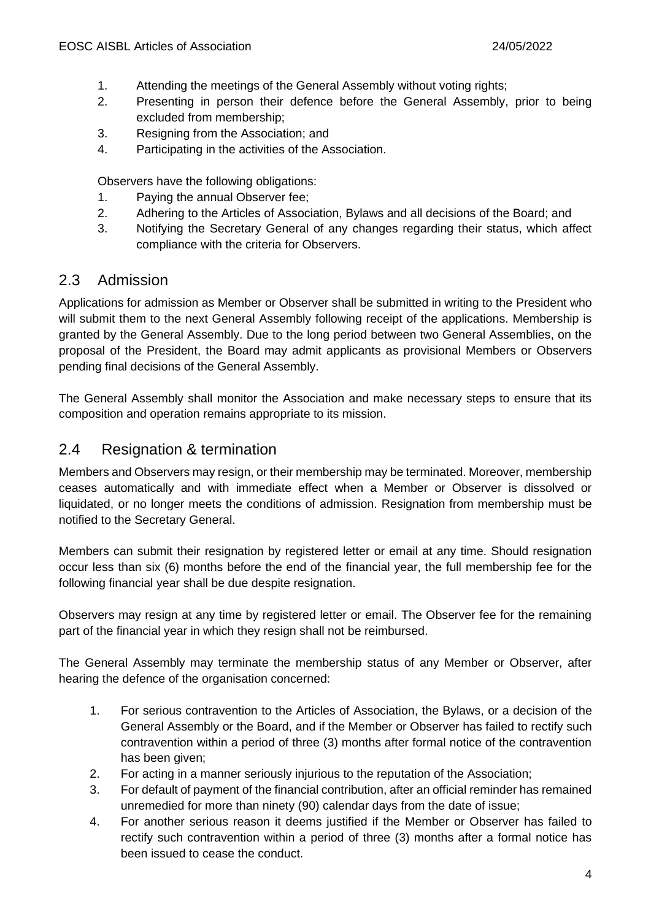- 1. Attending the meetings of the General Assembly without voting rights;
- 2. Presenting in person their defence before the General Assembly, prior to being excluded from membership;
- 3. Resigning from the Association; and
- 4. Participating in the activities of the Association.

Observers have the following obligations:

- 1. Paying the annual Observer fee;
- 2. Adhering to the Articles of Association, Bylaws and all decisions of the Board; and
- 3. Notifying the Secretary General of any changes regarding their status, which affect compliance with the criteria for Observers.

#### 2.3 Admission

Applications for admission as Member or Observer shall be submitted in writing to the President who will submit them to the next General Assembly following receipt of the applications. Membership is granted by the General Assembly. Due to the long period between two General Assemblies, on the proposal of the President, the Board may admit applicants as provisional Members or Observers pending final decisions of the General Assembly.

The General Assembly shall monitor the Association and make necessary steps to ensure that its composition and operation remains appropriate to its mission.

#### 2.4 Resignation & termination

Members and Observers may resign, or their membership may be terminated. Moreover, membership ceases automatically and with immediate effect when a Member or Observer is dissolved or liquidated, or no longer meets the conditions of admission. Resignation from membership must be notified to the Secretary General.

Members can submit their resignation by registered letter or email at any time. Should resignation occur less than six (6) months before the end of the financial year, the full membership fee for the following financial year shall be due despite resignation.

Observers may resign at any time by registered letter or email. The Observer fee for the remaining part of the financial year in which they resign shall not be reimbursed.

The General Assembly may terminate the membership status of any Member or Observer, after hearing the defence of the organisation concerned:

- 1. For serious contravention to the Articles of Association, the Bylaws, or a decision of the General Assembly or the Board, and if the Member or Observer has failed to rectify such contravention within a period of three (3) months after formal notice of the contravention has been given;
- 2. For acting in a manner seriously injurious to the reputation of the Association;
- 3. For default of payment of the financial contribution, after an official reminder has remained unremedied for more than ninety (90) calendar days from the date of issue;
- 4. For another serious reason it deems justified if the Member or Observer has failed to rectify such contravention within a period of three (3) months after a formal notice has been issued to cease the conduct.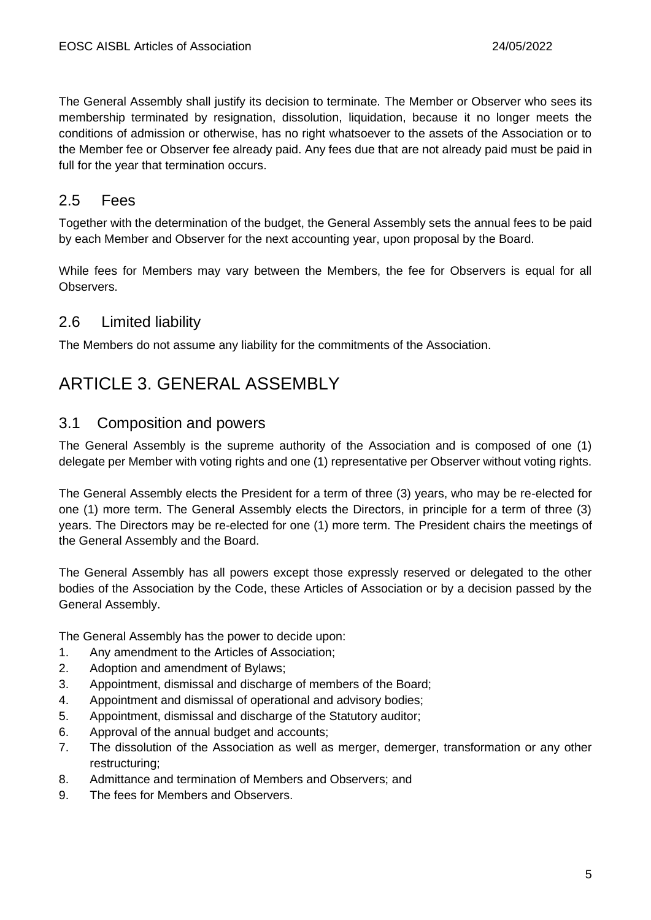The General Assembly shall justify its decision to terminate. The Member or Observer who sees its membership terminated by resignation, dissolution, liquidation, because it no longer meets the conditions of admission or otherwise, has no right whatsoever to the assets of the Association or to the Member fee or Observer fee already paid. Any fees due that are not already paid must be paid in full for the year that termination occurs.

#### 2.5 Fees

Together with the determination of the budget, the General Assembly sets the annual fees to be paid by each Member and Observer for the next accounting year, upon proposal by the Board.

While fees for Members may vary between the Members, the fee for Observers is equal for all Observers.

#### 2.6 Limited liability

The Members do not assume any liability for the commitments of the Association.

### ARTICLE 3. GENERAL ASSEMBLY

#### 3.1 Composition and powers

The General Assembly is the supreme authority of the Association and is composed of one (1) delegate per Member with voting rights and one (1) representative per Observer without voting rights.

The General Assembly elects the President for a term of three (3) years, who may be re-elected for one (1) more term. The General Assembly elects the Directors, in principle for a term of three (3) years. The Directors may be re-elected for one (1) more term. The President chairs the meetings of the General Assembly and the Board.

The General Assembly has all powers except those expressly reserved or delegated to the other bodies of the Association by the Code, these Articles of Association or by a decision passed by the General Assembly.

The General Assembly has the power to decide upon:

- 1. Any amendment to the Articles of Association;
- 2. Adoption and amendment of Bylaws;
- 3. Appointment, dismissal and discharge of members of the Board;
- 4. Appointment and dismissal of operational and advisory bodies;
- 5. Appointment, dismissal and discharge of the Statutory auditor;
- 6. Approval of the annual budget and accounts;
- 7. The dissolution of the Association as well as merger, demerger, transformation or any other restructuring;
- 8. Admittance and termination of Members and Observers; and
- 9. The fees for Members and Observers.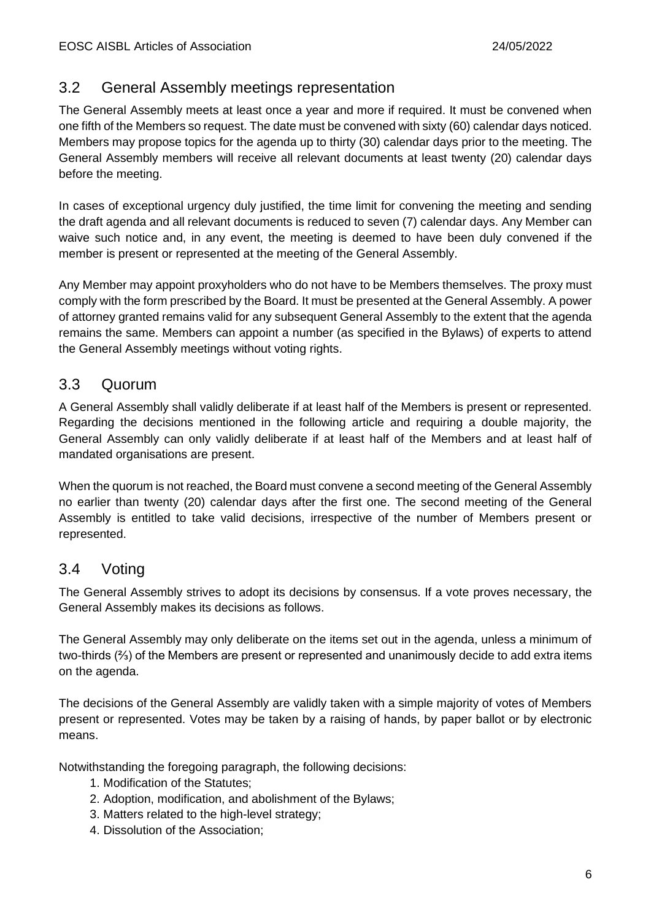#### 3.2 General Assembly meetings representation

The General Assembly meets at least once a year and more if required. It must be convened when one fifth of the Members so request. The date must be convened with sixty (60) calendar days noticed. Members may propose topics for the agenda up to thirty (30) calendar days prior to the meeting. The General Assembly members will receive all relevant documents at least twenty (20) calendar days before the meeting.

In cases of exceptional urgency duly justified, the time limit for convening the meeting and sending the draft agenda and all relevant documents is reduced to seven (7) calendar days. Any Member can waive such notice and, in any event, the meeting is deemed to have been duly convened if the member is present or represented at the meeting of the General Assembly.

Any Member may appoint proxyholders who do not have to be Members themselves. The proxy must comply with the form prescribed by the Board. It must be presented at the General Assembly. A power of attorney granted remains valid for any subsequent General Assembly to the extent that the agenda remains the same. Members can appoint a number (as specified in the Bylaws) of experts to attend the General Assembly meetings without voting rights.

#### 3.3 Quorum

A General Assembly shall validly deliberate if at least half of the Members is present or represented. Regarding the decisions mentioned in the following article and requiring a double majority, the General Assembly can only validly deliberate if at least half of the Members and at least half of mandated organisations are present.

When the quorum is not reached, the Board must convene a second meeting of the General Assembly no earlier than twenty (20) calendar days after the first one. The second meeting of the General Assembly is entitled to take valid decisions, irrespective of the number of Members present or represented.

#### 3.4 Voting

The General Assembly strives to adopt its decisions by consensus. If a vote proves necessary, the General Assembly makes its decisions as follows.

The General Assembly may only deliberate on the items set out in the agenda, unless a minimum of two-thirds (⅔) of the Members are present or represented and unanimously decide to add extra items on the agenda.

The decisions of the General Assembly are validly taken with a simple majority of votes of Members present or represented. Votes may be taken by a raising of hands, by paper ballot or by electronic means.

Notwithstanding the foregoing paragraph, the following decisions:

- 1. Modification of the Statutes;
- 2. Adoption, modification, and abolishment of the Bylaws;
- 3. Matters related to the high-level strategy;
- 4. Dissolution of the Association;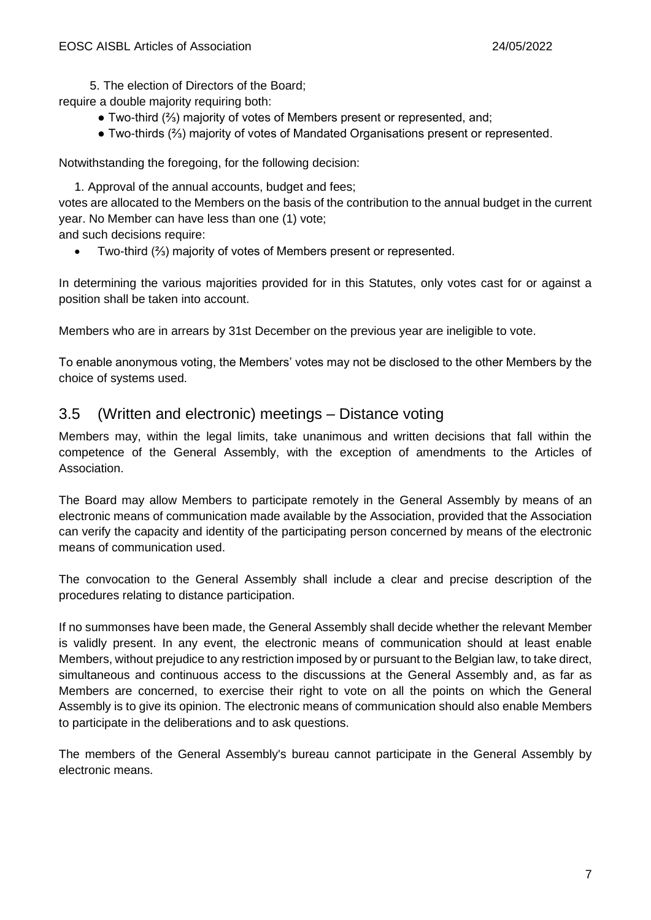5. The election of Directors of the Board;

require a double majority requiring both:

- Two-third (⅔) majority of votes of Members present or represented, and;
- Two-thirds (⅔) majority of votes of Mandated Organisations present or represented.

Notwithstanding the foregoing, for the following decision:

1. Approval of the annual accounts, budget and fees;

votes are allocated to the Members on the basis of the contribution to the annual budget in the current year. No Member can have less than one (1) vote;

and such decisions require:

• Two-third (⅔) majority of votes of Members present or represented.

In determining the various majorities provided for in this Statutes, only votes cast for or against a position shall be taken into account.

Members who are in arrears by 31st December on the previous year are ineligible to vote.

To enable anonymous voting, the Members' votes may not be disclosed to the other Members by the choice of systems used.

#### 3.5 (Written and electronic) meetings – Distance voting

Members may, within the legal limits, take unanimous and written decisions that fall within the competence of the General Assembly, with the exception of amendments to the Articles of Association.

The Board may allow Members to participate remotely in the General Assembly by means of an electronic means of communication made available by the Association, provided that the Association can verify the capacity and identity of the participating person concerned by means of the electronic means of communication used.

The convocation to the General Assembly shall include a clear and precise description of the procedures relating to distance participation.

If no summonses have been made, the General Assembly shall decide whether the relevant Member is validly present. In any event, the electronic means of communication should at least enable Members, without prejudice to any restriction imposed by or pursuant to the Belgian law, to take direct, simultaneous and continuous access to the discussions at the General Assembly and, as far as Members are concerned, to exercise their right to vote on all the points on which the General Assembly is to give its opinion. The electronic means of communication should also enable Members to participate in the deliberations and to ask questions.

The members of the General Assembly's bureau cannot participate in the General Assembly by electronic means.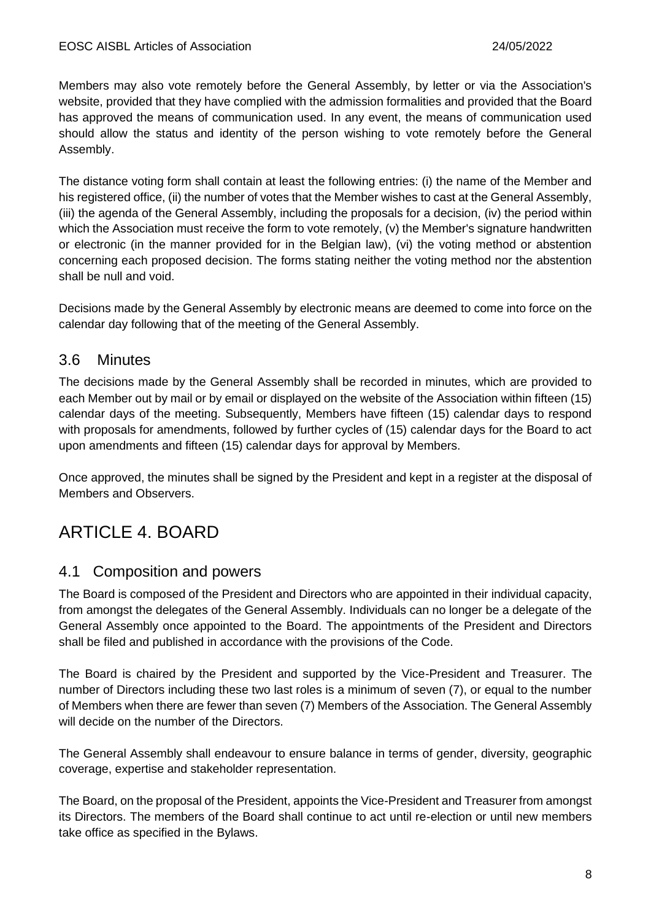Members may also vote remotely before the General Assembly, by letter or via the Association's website, provided that they have complied with the admission formalities and provided that the Board has approved the means of communication used. In any event, the means of communication used should allow the status and identity of the person wishing to vote remotely before the General Assembly.

The distance voting form shall contain at least the following entries: (i) the name of the Member and his registered office, (ii) the number of votes that the Member wishes to cast at the General Assembly, (iii) the agenda of the General Assembly, including the proposals for a decision, (iv) the period within which the Association must receive the form to vote remotely, (v) the Member's signature handwritten or electronic (in the manner provided for in the Belgian law), (vi) the voting method or abstention concerning each proposed decision. The forms stating neither the voting method nor the abstention shall be null and void.

Decisions made by the General Assembly by electronic means are deemed to come into force on the calendar day following that of the meeting of the General Assembly.

#### 3.6 Minutes

The decisions made by the General Assembly shall be recorded in minutes, which are provided to each Member out by mail or by email or displayed on the website of the Association within fifteen (15) calendar days of the meeting. Subsequently, Members have fifteen (15) calendar days to respond with proposals for amendments, followed by further cycles of (15) calendar days for the Board to act upon amendments and fifteen (15) calendar days for approval by Members.

Once approved, the minutes shall be signed by the President and kept in a register at the disposal of Members and Observers.

### ARTICLE 4. BOARD

#### 4.1 Composition and powers

The Board is composed of the President and Directors who are appointed in their individual capacity, from amongst the delegates of the General Assembly. Individuals can no longer be a delegate of the General Assembly once appointed to the Board. The appointments of the President and Directors shall be filed and published in accordance with the provisions of the Code.

The Board is chaired by the President and supported by the Vice-President and Treasurer. The number of Directors including these two last roles is a minimum of seven (7), or equal to the number of Members when there are fewer than seven (7) Members of the Association. The General Assembly will decide on the number of the Directors.

The General Assembly shall endeavour to ensure balance in terms of gender, diversity, geographic coverage, expertise and stakeholder representation.

The Board, on the proposal of the President, appoints the Vice-President and Treasurer from amongst its Directors. The members of the Board shall continue to act until re-election or until new members take office as specified in the Bylaws.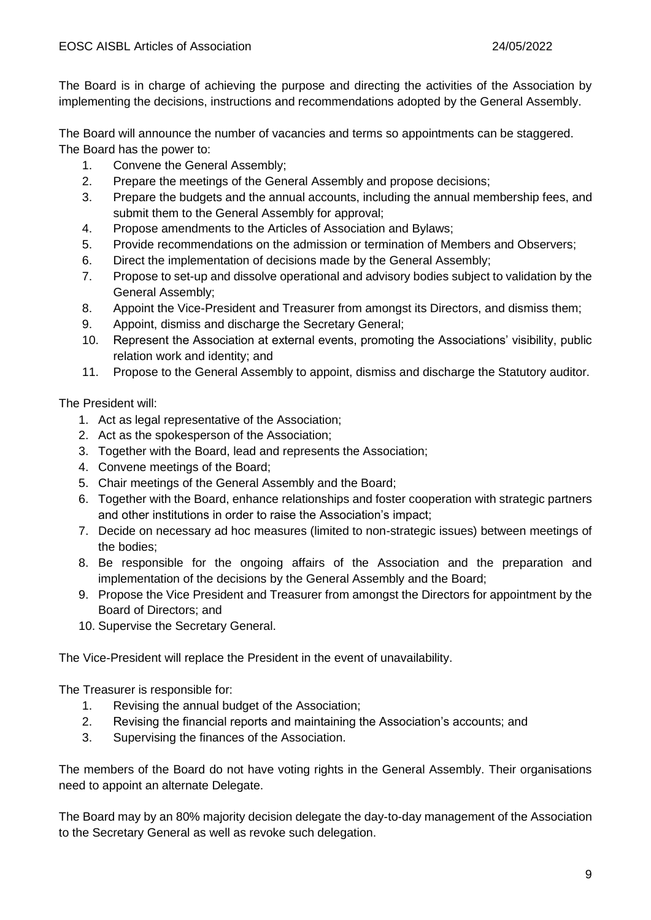The Board is in charge of achieving the purpose and directing the activities of the Association by implementing the decisions, instructions and recommendations adopted by the General Assembly.

The Board will announce the number of vacancies and terms so appointments can be staggered. The Board has the power to:

- 1. Convene the General Assembly;
- 2. Prepare the meetings of the General Assembly and propose decisions;
- 3. Prepare the budgets and the annual accounts, including the annual membership fees, and submit them to the General Assembly for approval;
- 4. Propose amendments to the Articles of Association and Bylaws;
- 5. Provide recommendations on the admission or termination of Members and Observers;
- 6. Direct the implementation of decisions made by the General Assembly;
- 7. Propose to set-up and dissolve operational and advisory bodies subject to validation by the General Assembly;
- 8. Appoint the Vice-President and Treasurer from amongst its Directors, and dismiss them;
- 9. Appoint, dismiss and discharge the Secretary General;
- 10. Represent the Association at external events, promoting the Associations' visibility, public relation work and identity; and
- 11. Propose to the General Assembly to appoint, dismiss and discharge the Statutory auditor.

The President will:

- 1. Act as legal representative of the Association;
- 2. Act as the spokesperson of the Association;
- 3. Together with the Board, lead and represents the Association;
- 4. Convene meetings of the Board;
- 5. Chair meetings of the General Assembly and the Board;
- 6. Together with the Board, enhance relationships and foster cooperation with strategic partners and other institutions in order to raise the Association's impact;
- 7. Decide on necessary ad hoc measures (limited to non-strategic issues) between meetings of the bodies;
- 8. Be responsible for the ongoing affairs of the Association and the preparation and implementation of the decisions by the General Assembly and the Board;
- 9. Propose the Vice President and Treasurer from amongst the Directors for appointment by the Board of Directors; and
- 10. Supervise the Secretary General.

The Vice-President will replace the President in the event of unavailability.

The Treasurer is responsible for:

- 1. Revising the annual budget of the Association;
- 2. Revising the financial reports and maintaining the Association's accounts; and
- 3. Supervising the finances of the Association.

The members of the Board do not have voting rights in the General Assembly. Their organisations need to appoint an alternate Delegate.

The Board may by an 80% majority decision delegate the day-to-day management of the Association to the Secretary General as well as revoke such delegation.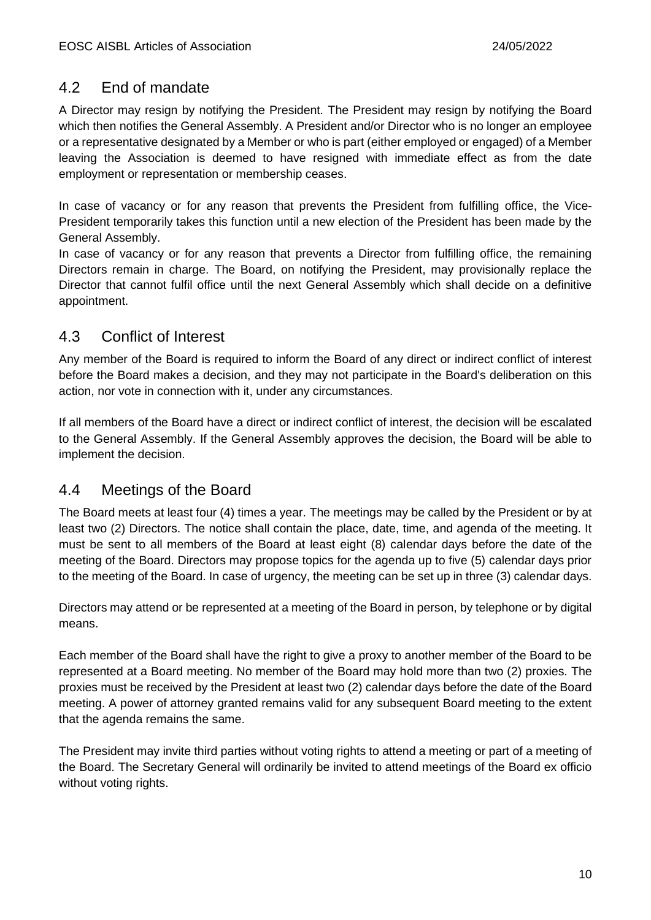#### 4.2 End of mandate

A Director may resign by notifying the President. The President may resign by notifying the Board which then notifies the General Assembly. A President and/or Director who is no longer an employee or a representative designated by a Member or who is part (either employed or engaged) of a Member leaving the Association is deemed to have resigned with immediate effect as from the date employment or representation or membership ceases.

In case of vacancy or for any reason that prevents the President from fulfilling office, the Vice-President temporarily takes this function until a new election of the President has been made by the General Assembly.

In case of vacancy or for any reason that prevents a Director from fulfilling office, the remaining Directors remain in charge. The Board, on notifying the President, may provisionally replace the Director that cannot fulfil office until the next General Assembly which shall decide on a definitive appointment.

#### 4.3 Conflict of Interest

Any member of the Board is required to inform the Board of any direct or indirect conflict of interest before the Board makes a decision, and they may not participate in the Board's deliberation on this action, nor vote in connection with it, under any circumstances.

If all members of the Board have a direct or indirect conflict of interest, the decision will be escalated to the General Assembly. If the General Assembly approves the decision, the Board will be able to implement the decision.

#### 4.4 Meetings of the Board

The Board meets at least four (4) times a year. The meetings may be called by the President or by at least two (2) Directors. The notice shall contain the place, date, time, and agenda of the meeting. It must be sent to all members of the Board at least eight (8) calendar days before the date of the meeting of the Board. Directors may propose topics for the agenda up to five (5) calendar days prior to the meeting of the Board. In case of urgency, the meeting can be set up in three (3) calendar days.

Directors may attend or be represented at a meeting of the Board in person, by telephone or by digital means.

Each member of the Board shall have the right to give a proxy to another member of the Board to be represented at a Board meeting. No member of the Board may hold more than two (2) proxies. The proxies must be received by the President at least two (2) calendar days before the date of the Board meeting. A power of attorney granted remains valid for any subsequent Board meeting to the extent that the agenda remains the same.

The President may invite third parties without voting rights to attend a meeting or part of a meeting of the Board. The Secretary General will ordinarily be invited to attend meetings of the Board ex officio without voting rights.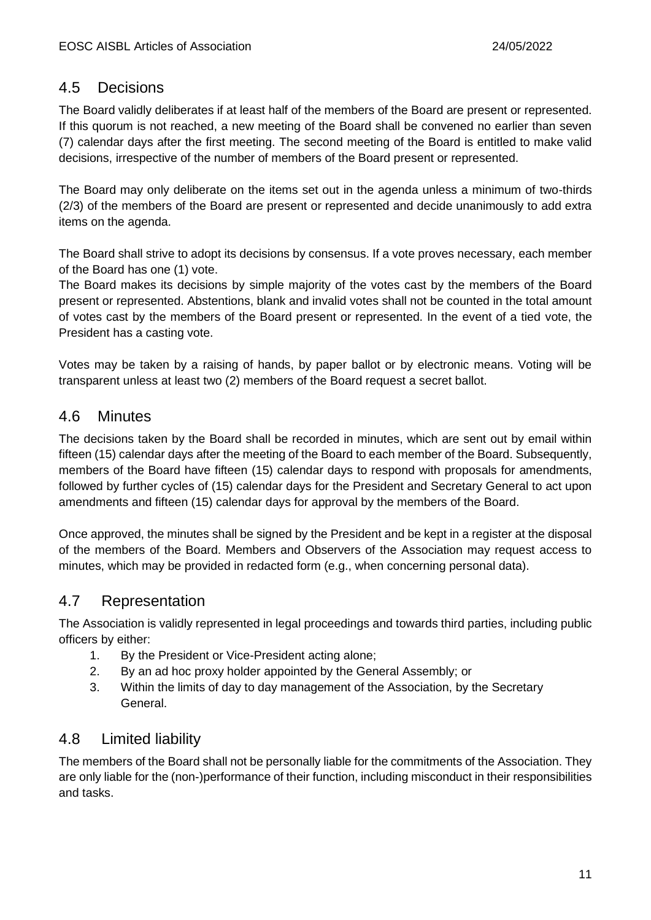#### 4.5 Decisions

The Board validly deliberates if at least half of the members of the Board are present or represented. If this quorum is not reached, a new meeting of the Board shall be convened no earlier than seven (7) calendar days after the first meeting. The second meeting of the Board is entitled to make valid decisions, irrespective of the number of members of the Board present or represented.

The Board may only deliberate on the items set out in the agenda unless a minimum of two-thirds (2/3) of the members of the Board are present or represented and decide unanimously to add extra items on the agenda.

The Board shall strive to adopt its decisions by consensus. If a vote proves necessary, each member of the Board has one (1) vote.

The Board makes its decisions by simple majority of the votes cast by the members of the Board present or represented. Abstentions, blank and invalid votes shall not be counted in the total amount of votes cast by the members of the Board present or represented. In the event of a tied vote, the President has a casting vote.

Votes may be taken by a raising of hands, by paper ballot or by electronic means. Voting will be transparent unless at least two (2) members of the Board request a secret ballot.

#### 4.6 Minutes

The decisions taken by the Board shall be recorded in minutes, which are sent out by email within fifteen (15) calendar days after the meeting of the Board to each member of the Board. Subsequently, members of the Board have fifteen (15) calendar days to respond with proposals for amendments, followed by further cycles of (15) calendar days for the President and Secretary General to act upon amendments and fifteen (15) calendar days for approval by the members of the Board.

Once approved, the minutes shall be signed by the President and be kept in a register at the disposal of the members of the Board. Members and Observers of the Association may request access to minutes, which may be provided in redacted form (e.g., when concerning personal data).

#### 4.7 Representation

The Association is validly represented in legal proceedings and towards third parties, including public officers by either:

- 1. By the President or Vice-President acting alone;
- 2. By an ad hoc proxy holder appointed by the General Assembly; or
- 3. Within the limits of day to day management of the Association, by the Secretary General.

#### 4.8 Limited liability

The members of the Board shall not be personally liable for the commitments of the Association. They are only liable for the (non-)performance of their function, including misconduct in their responsibilities and tasks.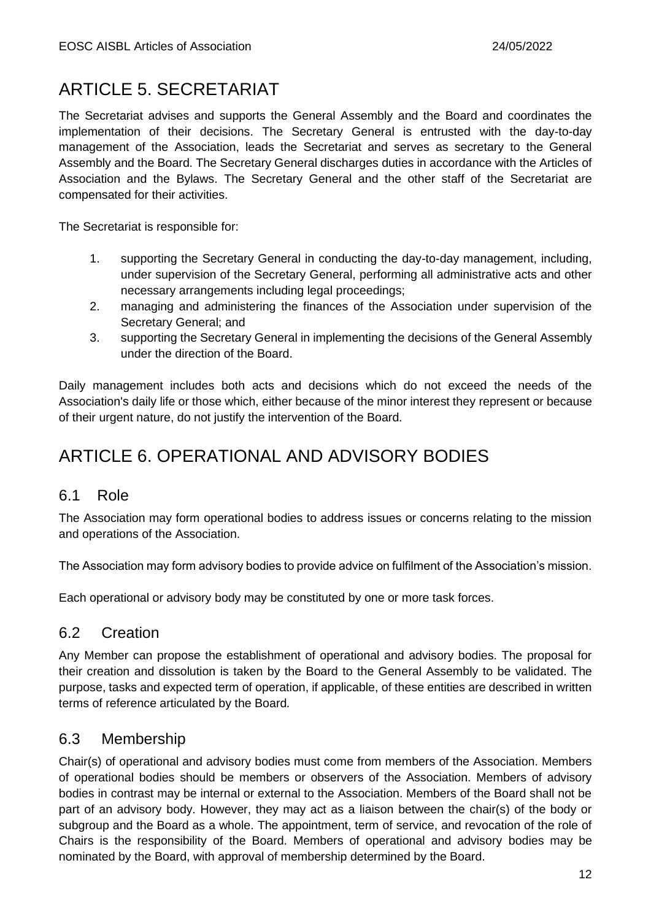# ARTICLE 5. SECRETARIAT

The Secretariat advises and supports the General Assembly and the Board and coordinates the implementation of their decisions. The Secretary General is entrusted with the day-to-day management of the Association, leads the Secretariat and serves as secretary to the General Assembly and the Board. The Secretary General discharges duties in accordance with the Articles of Association and the Bylaws. The Secretary General and the other staff of the Secretariat are compensated for their activities.

The Secretariat is responsible for:

- 1. supporting the Secretary General in conducting the day-to-day management, including, under supervision of the Secretary General, performing all administrative acts and other necessary arrangements including legal proceedings;
- 2. managing and administering the finances of the Association under supervision of the Secretary General; and
- 3. supporting the Secretary General in implementing the decisions of the General Assembly under the direction of the Board.

Daily management includes both acts and decisions which do not exceed the needs of the Association's daily life or those which, either because of the minor interest they represent or because of their urgent nature, do not justify the intervention of the Board.

# ARTICLE 6. OPERATIONAL AND ADVISORY BODIES

#### 6.1 Role

The Association may form operational bodies to address issues or concerns relating to the mission and operations of the Association.

The Association may form advisory bodies to provide advice on fulfilment of the Association's mission.

Each operational or advisory body may be constituted by one or more task forces.

#### 6.2 Creation

Any Member can propose the establishment of operational and advisory bodies. The proposal for their creation and dissolution is taken by the Board to the General Assembly to be validated. The purpose, tasks and expected term of operation, if applicable, of these entities are described in written terms of reference articulated by the Board*.*

#### 6.3 Membership

Chair(s) of operational and advisory bodies must come from members of the Association. Members of operational bodies should be members or observers of the Association. Members of advisory bodies in contrast may be internal or external to the Association. Members of the Board shall not be part of an advisory body. However, they may act as a liaison between the chair(s) of the body or subgroup and the Board as a whole. The appointment, term of service, and revocation of the role of Chairs is the responsibility of the Board. Members of operational and advisory bodies may be nominated by the Board, with approval of membership determined by the Board.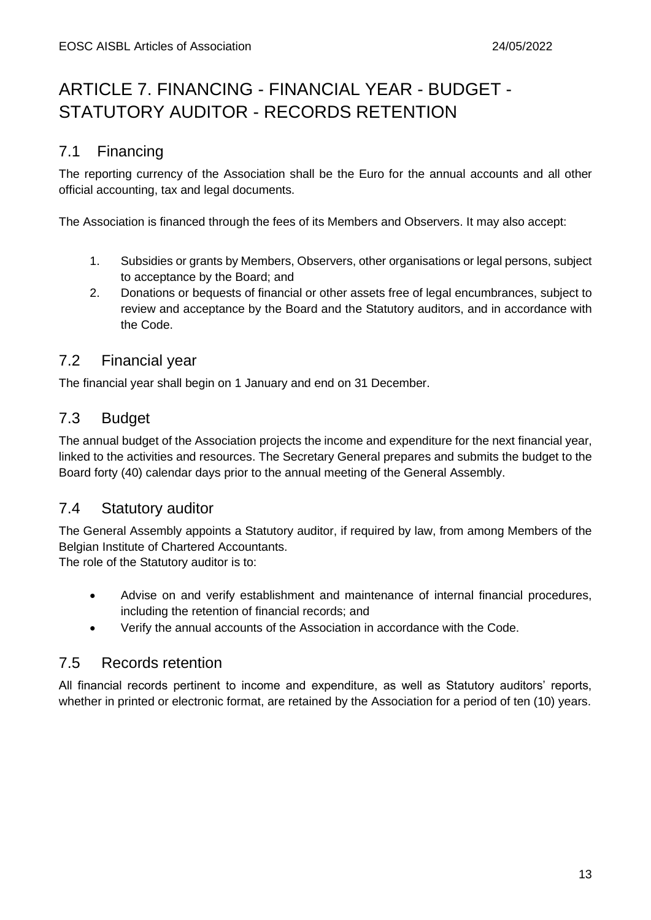# ARTICLE 7. FINANCING - FINANCIAL YEAR - BUDGET - STATUTORY AUDITOR - RECORDS RETENTION

#### 7.1 Financing

The reporting currency of the Association shall be the Euro for the annual accounts and all other official accounting, tax and legal documents.

The Association is financed through the fees of its Members and Observers. It may also accept:

- 1. Subsidies or grants by Members, Observers, other organisations or legal persons, subject to acceptance by the Board; and
- 2. Donations or bequests of financial or other assets free of legal encumbrances, subject to review and acceptance by the Board and the Statutory auditors, and in accordance with the Code.

#### 7.2 Financial year

The financial year shall begin on 1 January and end on 31 December.

#### 7.3 Budget

The annual budget of the Association projects the income and expenditure for the next financial year, linked to the activities and resources. The Secretary General prepares and submits the budget to the Board forty (40) calendar days prior to the annual meeting of the General Assembly.

#### 7.4 Statutory auditor

The General Assembly appoints a Statutory auditor, if required by law, from among Members of the Belgian Institute of Chartered Accountants.

The role of the Statutory auditor is to:

- Advise on and verify establishment and maintenance of internal financial procedures, including the retention of financial records; and
- Verify the annual accounts of the Association in accordance with the Code.

#### 7.5 Records retention

All financial records pertinent to income and expenditure, as well as Statutory auditors' reports, whether in printed or electronic format, are retained by the Association for a period of ten (10) years.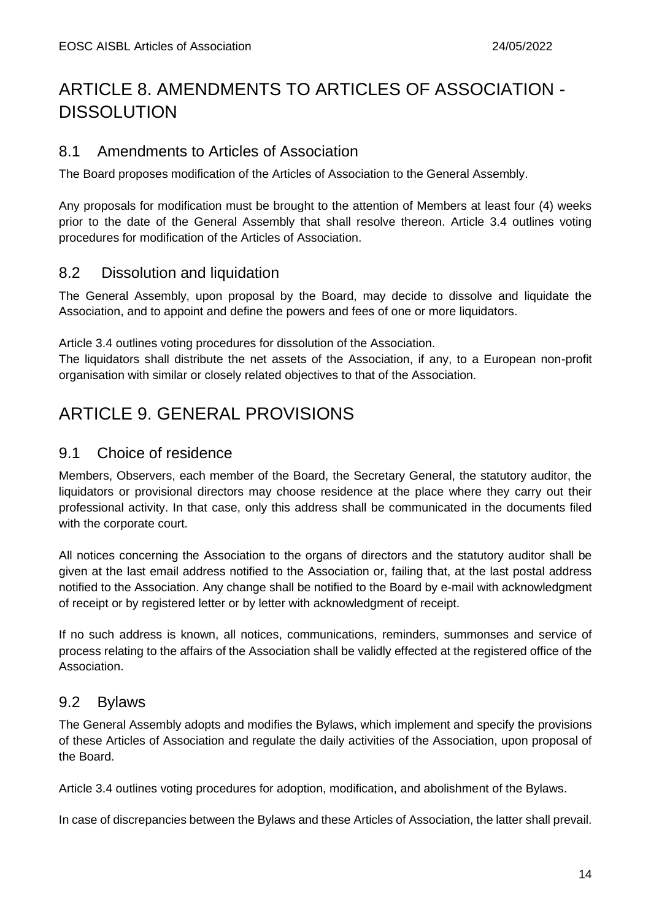# ARTICLE 8. AMENDMENTS TO ARTICLES OF ASSOCIATION - **DISSOLUTION**

#### 8.1 Amendments to Articles of Association

The Board proposes modification of the Articles of Association to the General Assembly.

Any proposals for modification must be brought to the attention of Members at least four (4) weeks prior to the date of the General Assembly that shall resolve thereon. Article 3.4 outlines voting procedures for modification of the Articles of Association.

#### 8.2 Dissolution and liquidation

The General Assembly, upon proposal by the Board, may decide to dissolve and liquidate the Association, and to appoint and define the powers and fees of one or more liquidators.

Article 3.4 outlines voting procedures for dissolution of the Association.

The liquidators shall distribute the net assets of the Association, if any, to a European non-profit organisation with similar or closely related objectives to that of the Association.

### ARTICLE 9. GENERAL PROVISIONS

#### 9.1 Choice of residence

Members, Observers, each member of the Board, the Secretary General, the statutory auditor, the liquidators or provisional directors may choose residence at the place where they carry out their professional activity. In that case, only this address shall be communicated in the documents filed with the corporate court.

All notices concerning the Association to the organs of directors and the statutory auditor shall be given at the last email address notified to the Association or, failing that, at the last postal address notified to the Association. Any change shall be notified to the Board by e-mail with acknowledgment of receipt or by registered letter or by letter with acknowledgment of receipt.

If no such address is known, all notices, communications, reminders, summonses and service of process relating to the affairs of the Association shall be validly effected at the registered office of the Association.

#### 9.2 Bylaws

The General Assembly adopts and modifies the Bylaws, which implement and specify the provisions of these Articles of Association and regulate the daily activities of the Association, upon proposal of the Board.

Article 3.4 outlines voting procedures for adoption, modification, and abolishment of the Bylaws.

In case of discrepancies between the Bylaws and these Articles of Association, the latter shall prevail.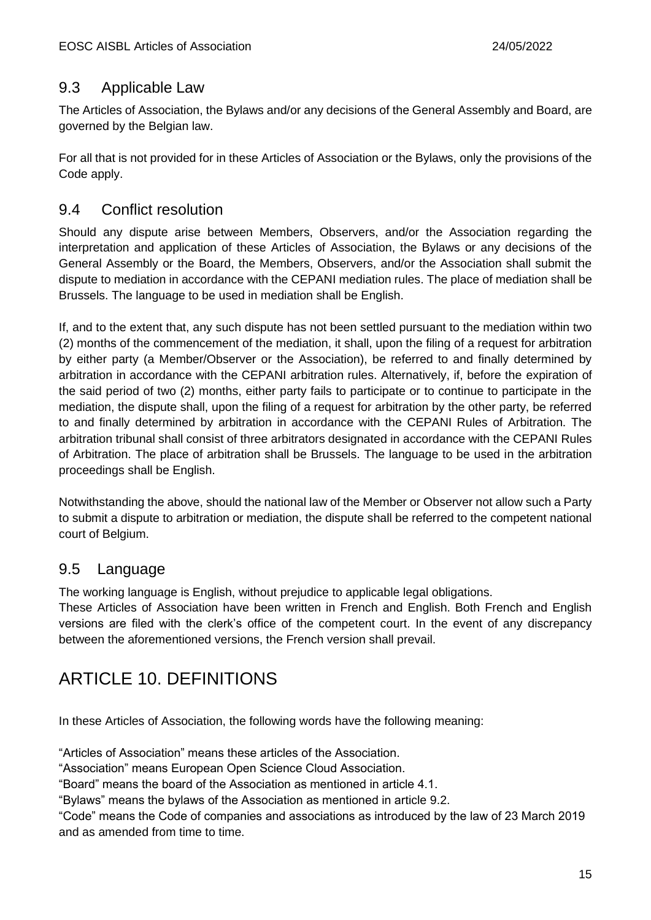#### 9.3 Applicable Law

The Articles of Association, the Bylaws and/or any decisions of the General Assembly and Board, are governed by the Belgian law.

For all that is not provided for in these Articles of Association or the Bylaws, only the provisions of the Code apply.

#### 9.4 Conflict resolution

Should any dispute arise between Members, Observers, and/or the Association regarding the interpretation and application of these Articles of Association, the Bylaws or any decisions of the General Assembly or the Board, the Members, Observers, and/or the Association shall submit the dispute to mediation in accordance with the CEPANI mediation rules. The place of mediation shall be Brussels. The language to be used in mediation shall be English.

If, and to the extent that, any such dispute has not been settled pursuant to the mediation within two (2) months of the commencement of the mediation, it shall, upon the filing of a request for arbitration by either party (a Member/Observer or the Association), be referred to and finally determined by arbitration in accordance with the CEPANI arbitration rules. Alternatively, if, before the expiration of the said period of two (2) months, either party fails to participate or to continue to participate in the mediation, the dispute shall, upon the filing of a request for arbitration by the other party, be referred to and finally determined by arbitration in accordance with the CEPANI Rules of Arbitration. The arbitration tribunal shall consist of three arbitrators designated in accordance with the CEPANI Rules of Arbitration. The place of arbitration shall be Brussels. The language to be used in the arbitration proceedings shall be English.

Notwithstanding the above, should the national law of the Member or Observer not allow such a Party to submit a dispute to arbitration or mediation, the dispute shall be referred to the competent national court of Belgium.

#### 9.5 Language

The working language is English, without prejudice to applicable legal obligations.

These Articles of Association have been written in French and English. Both French and English versions are filed with the clerk's office of the competent court. In the event of any discrepancy between the aforementioned versions, the French version shall prevail.

### ARTICLE 10. DEFINITIONS

In these Articles of Association, the following words have the following meaning:

"Articles of Association" means these articles of the Association.

"Association" means European Open Science Cloud Association.

"Board" means the board of the Association as mentioned in article 4.1.

"Bylaws" means the bylaws of the Association as mentioned in article 9.2.

"Code" means the Code of companies and associations as introduced by the law of 23 March 2019 and as amended from time to time.